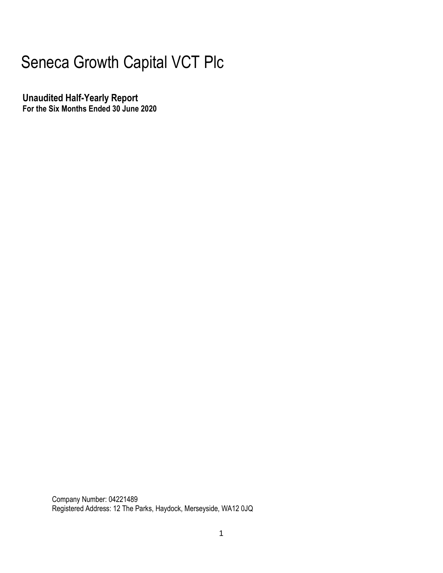# Seneca Growth Capital VCT Plc

**Unaudited Half-Yearly Report For the Six Months Ended 30 June 2020**

> Company Number: 04221489 Registered Address: 12 The Parks, Haydock, Merseyside, WA12 0JQ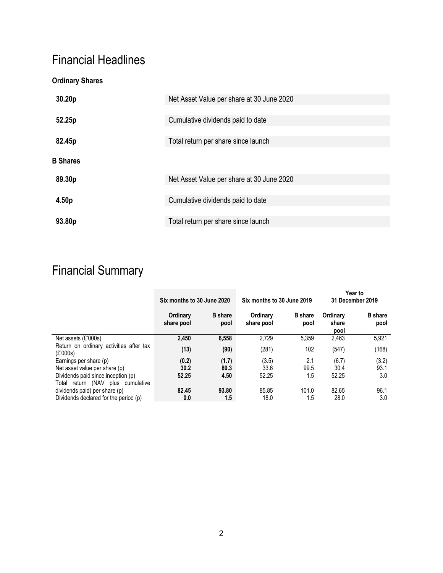### Financial Headlines

### **Ordinary Shares**

| 30.20p          | Net Asset Value per share at 30 June 2020 |
|-----------------|-------------------------------------------|
| 52.25p          | Cumulative dividends paid to date         |
| 82.45p          | Total return per share since launch       |
| <b>B</b> Shares |                                           |
| 89.30p          | Net Asset Value per share at 30 June 2020 |
| 4.50p           | Cumulative dividends paid to date         |
|                 |                                           |
| 93.80p          | Total return per share since launch       |

## Financial Summary

|                                                     | Six months to 30 June 2020 |                        | Six months to 30 June 2019 |                        | <b>Year to</b><br>31 December 2019 |                        |  |
|-----------------------------------------------------|----------------------------|------------------------|----------------------------|------------------------|------------------------------------|------------------------|--|
|                                                     | Ordinary<br>share pool     | <b>B</b> share<br>pool | Ordinary<br>share pool     | <b>B</b> share<br>pool | Ordinary<br>share<br>pool          | <b>B</b> share<br>pool |  |
| Net assets $(E'000s)$                               | 2.450                      | 6,558                  | 2.729                      | 5.359                  | 2,463                              | 5,921                  |  |
| Return on ordinary activities after tax<br>(E'000s) | (13)                       | (90)                   | (281)                      | 102                    | (547)                              | (168)                  |  |
| Earnings per share (p)                              | (0.2)                      | (1.7)                  | (3.5)                      | 2.1                    | (6.7)                              | (3.2)                  |  |
| Net asset value per share (p)                       | 30.2                       | 89.3                   | 33.6                       | 99.5                   | 30.4                               | 93.1                   |  |
| Dividends paid since inception (p)                  | 52.25                      | 4.50                   | 52.25                      | 1.5                    | 52.25                              | 3.0                    |  |
| (NAV<br>plus cumulative<br>Total<br>return          |                            |                        |                            |                        |                                    |                        |  |
| dividends paid) per share (p)                       | 82.45                      | 93.80                  | 85.85                      | 101.0                  | 82.65                              | 96.1                   |  |
| Dividends declared for the period (p)               | 0.0                        | 1.5                    | 18.0                       | 1.5                    | 28.0                               | 3.0                    |  |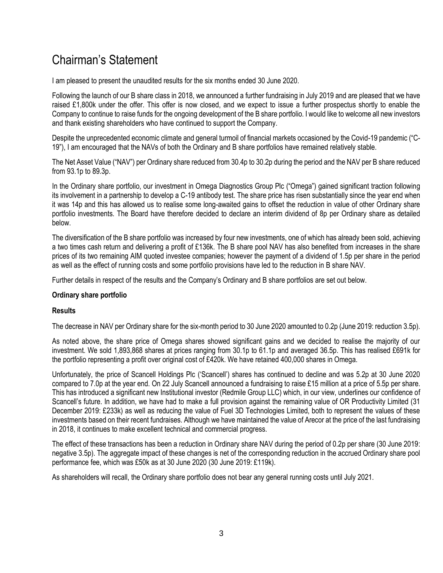### Chairman's Statement

I am pleased to present the unaudited results for the six months ended 30 June 2020.

Following the launch of our B share class in 2018, we announced a further fundraising in July 2019 and are pleased that we have raised £1,800k under the offer. This offer is now closed, and we expect to issue a further prospectus shortly to enable the Company to continue to raise funds for the ongoing development of the B share portfolio. I would like to welcome all new investors and thank existing shareholders who have continued to support the Company.

Despite the unprecedented economic climate and general turmoil of financial markets occasioned by the Covid-19 pandemic ("C-19"), I am encouraged that the NAVs of both the Ordinary and B share portfolios have remained relatively stable.

The Net Asset Value ("NAV") per Ordinary share reduced from 30.4p to 30.2p during the period and the NAV per B share reduced from 93.1p to 89.3p.

In the Ordinary share portfolio, our investment in Omega Diagnostics Group Plc ("Omega") gained significant traction following its involvement in a partnership to develop a C-19 antibody test. The share price has risen substantially since the year end when it was 14p and this has allowed us to realise some long-awaited gains to offset the reduction in value of other Ordinary share portfolio investments. The Board have therefore decided to declare an interim dividend of 8p per Ordinary share as detailed below.

The diversification of the B share portfolio was increased by four new investments, one of which has already been sold, achieving a two times cash return and delivering a profit of £136k. The B share pool NAV has also benefited from increases in the share prices of its two remaining AIM quoted investee companies; however the payment of a dividend of 1.5p per share in the period as well as the effect of running costs and some portfolio provisions have led to the reduction in B share NAV.

Further details in respect of the results and the Company's Ordinary and B share portfolios are set out below.

#### **Ordinary share portfolio**

#### **Results**

The decrease in NAV per Ordinary share for the six-month period to 30 June 2020 amounted to 0.2p (June 2019: reduction 3.5p).

As noted above, the share price of Omega shares showed significant gains and we decided to realise the majority of our investment. We sold 1,893,868 shares at prices ranging from 30.1p to 61.1p and averaged 36.5p. This has realised £691k for the portfolio representing a profit over original cost of £420k. We have retained 400,000 shares in Omega.

Unfortunately, the price of Scancell Holdings Plc ('Scancell') shares has continued to decline and was 5.2p at 30 June 2020 compared to 7.0p at the year end. On 22 July Scancell announced a fundraising to raise £15 million at a price of 5.5p per share. This has introduced a significant new Institutional investor (Redmile Group LLC) which, in our view, underlines our confidence of Scancell's future. In addition, we have had to make a full provision against the remaining value of OR Productivity Limited (31 December 2019: £233k) as well as reducing the value of Fuel 3D Technologies Limited, both to represent the values of these investments based on their recent fundraises. Although we have maintained the value of Arecor at the price of the last fundraising in 2018, it continues to make excellent technical and commercial progress.

The effect of these transactions has been a reduction in Ordinary share NAV during the period of 0.2p per share (30 June 2019: negative 3.5p). The aggregate impact of these changes is net of the corresponding reduction in the accrued Ordinary share pool performance fee, which was £50k as at 30 June 2020 (30 June 2019: £119k).

As shareholders will recall, the Ordinary share portfolio does not bear any general running costs until July 2021.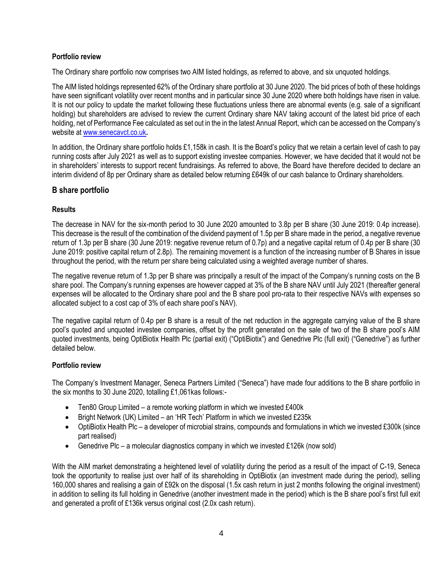#### **Portfolio review**

The Ordinary share portfolio now comprises two AIM listed holdings, as referred to above, and six unquoted holdings.

The AIM listed holdings represented 62% of the Ordinary share portfolio at 30 June 2020. The bid prices of both of these holdings have seen significant volatility over recent months and in particular since 30 June 2020 where both holdings have risen in value. It is not our policy to update the market following these fluctuations unless there are abnormal events (e.g. sale of a significant holding) but shareholders are advised to review the current Ordinary share NAV taking account of the latest bid price of each holding, net of Performance Fee calculated as set out in the in the latest Annual Report, which can be accessed on the Company's website at [www.senecavct.co.uk](http://www.senecavct.co.uk/)**.**

In addition, the Ordinary share portfolio holds £1,158k in cash. It is the Board's policy that we retain a certain level of cash to pay running costs after July 2021 as well as to support existing investee companies. However, we have decided that it would not be in shareholders' interests to support recent fundraisings. As referred to above, the Board have therefore decided to declare an interim dividend of 8p per Ordinary share as detailed below returning £649k of our cash balance to Ordinary shareholders.

#### **B share portfolio**

#### **Results**

The decrease in NAV for the six-month period to 30 June 2020 amounted to 3.8p per B share (30 June 2019: 0.4p increase). This decrease is the result of the combination of the dividend payment of 1.5p per B share made in the period, a negative revenue return of 1.3p per B share (30 June 2019: negative revenue return of 0.7p) and a negative capital return of 0.4p per B share (30 June 2019: positive capital return of 2.8p). The remaining movement is a function of the increasing number of B Shares in issue throughout the period, with the return per share being calculated using a weighted average number of shares.

The negative revenue return of 1.3p per B share was principally a result of the impact of the Company's running costs on the B share pool. The Company's running expenses are however capped at 3% of the B share NAV until July 2021 (thereafter general expenses will be allocated to the Ordinary share pool and the B share pool pro-rata to their respective NAVs with expenses so allocated subject to a cost cap of 3% of each share pool's NAV).

The negative capital return of 0.4p per B share is a result of the net reduction in the aggregate carrying value of the B share pool's quoted and unquoted investee companies, offset by the profit generated on the sale of two of the B share pool's AIM quoted investments, being OptiBiotix Health Plc (partial exit) ("OptiBiotix") and Genedrive Plc (full exit) ("Genedrive") as further detailed below.

#### **Portfolio review**

The Company's Investment Manager, Seneca Partners Limited ("Seneca") have made four additions to the B share portfolio in the six months to 30 June 2020, totalling £1,061kas follows:-

- Ten80 Group Limited a remote working platform in which we invested £400k
- Bright Network (UK) Limited an 'HR Tech' Platform in which we invested £235k
- OptiBiotix Health Plc a developer of microbial strains, compounds and formulations in which we invested £300k (since part realised)
- Genedrive Plc a molecular diagnostics company in which we invested £126k (now sold)

With the AIM market demonstrating a heightened level of volatility during the period as a result of the impact of C-19, Seneca took the opportunity to realise just over half of its shareholding in OptiBiotix (an investment made during the period), selling 160,000 shares and realising a gain of £92k on the disposal (1.5x cash return in just 2 months following the original investment) in addition to selling its full holding in Genedrive (another investment made in the period) which is the B share pool's first full exit and generated a profit of £136k versus original cost (2.0x cash return).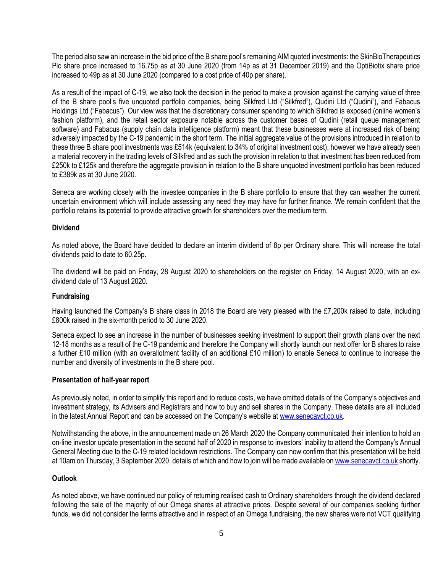The period also saw an increase in the bid price of the B share pool's remaining AIM quoted investments: the SkinBioTherapeutics Plc share price increased to 16.75p as at 30 June 2020 (from 14p as at 31 December 2019) and the OptiBiotix share price increased to 49p as at 30 June 2020 (compared to a cost price of 40p per share).

As a result of the impact of C-19, we also took the decision in the period to make a provision against the carrying value of three of the B share pool's five unquoted portfolio companies, being Silkfred Ltd ("Silkfred"), Qudini Ltd ("Qudini"), and Fabacus Holdings Ltd ("Fabacus"). Our view was that the discretionary consumer spending to which Silkfred is exposed (online women's fashion platform), and the retail sector exposure notable across the customer bases of Qudini (retail queue management software) and Fabacus (supply chain data intelligence platform) meant that these businesses were at increased risk of being adversely impacted by the C-19 pandemic in the short term. The initial aggregate value of the provisions introduced in relation to these three B share pool investments was £514k (equivalent to 34% of original investment cost); however we have already seen a material recovery in the trading levels of Silkfred and as such the provision in relation to that investment has been reduced from £250k to £125k and therefore the aggregate provision in relation to the B share unquoted investment portfolio has been reduced to £389k as at 30 June 2020.

Seneca are working closely with the investee companies in the B share portfolio to ensure that they can weather the current uncertain environment which will include assessing any need they may have for further finance. We remain confident that the portfolio retains its potential to provide attractive growth for shareholders over the medium term.

#### **Dividend**

As noted above, the Board have decided to declare an interim dividend of 8p per Ordinary share. This will increase the total dividends paid to date to 60.25p.

The dividend will be paid on Friday, 28 August 2020 to shareholders on the register on Friday, 14 August 2020, with an exdividend date of 13 August 2020.

#### **Fundraising**

Having launched the Company's B share class in 2018 the Board are very pleased with the £7,200k raised to date, including £800k raised in the six-month period to 30 June 2020.

Seneca expect to see an increase in the number of businesses seeking investment to support their growth plans over the next 12-18 months as a result of the C-19 pandemic and therefore the Company will shortly launch our next offer for B shares to raise a further £10 million (with an overallotment facility of an additional £10 million) to enable Seneca to continue to increase the number and diversity of investments in the B share pool.

#### **Presentation of half-year report**

As previously noted, in order to simplify this report and to reduce costs, we have omitted details of the Company's objectives and investment strategy, its Advisers and Registrars and how to buy and sell shares in the Company. These details are all included in the latest Annual Report and can be accessed on the Company's website at www.senecavct.co.uk.

Notwithstanding the above, in the announcement made on 26 March 2020 the Company communicated their intention to hold an on-line investor update presentation in the second half of 2020 in response to investors' inability to attend the Company's Annual General Meeting due to the C-19 related lockdown restrictions. The Company can now confirm that this presentation will be held at 10am on Thursday, 3 September 2020, details of which and how to join will be made available o[n www.senecavct.co.uk](http://www.senecavct.co.uk/) shortly.

#### **Outlook**

As noted above, we have continued our policy of returning realised cash to Ordinary shareholders through the dividend declared following the sale of the majority of our Omega shares at attractive prices. Despite several of our companies seeking further funds, we did not consider the terms attractive and in respect of an Omega fundraising, the new shares were not VCT qualifying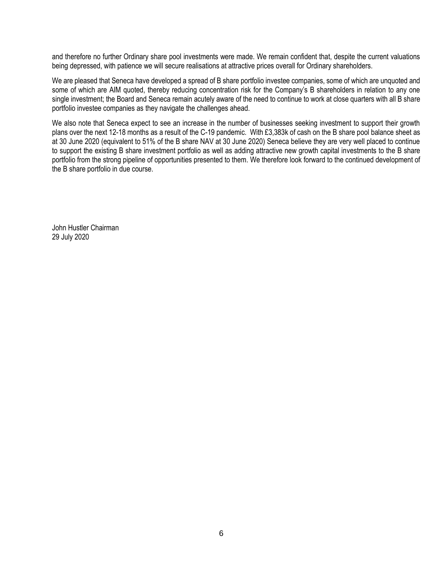and therefore no further Ordinary share pool investments were made. We remain confident that, despite the current valuations being depressed, with patience we will secure realisations at attractive prices overall for Ordinary shareholders.

We are pleased that Seneca have developed a spread of B share portfolio investee companies, some of which are unquoted and some of which are AIM quoted, thereby reducing concentration risk for the Company's B shareholders in relation to any one single investment; the Board and Seneca remain acutely aware of the need to continue to work at close quarters with all B share portfolio investee companies as they navigate the challenges ahead.

We also note that Seneca expect to see an increase in the number of businesses seeking investment to support their growth plans over the next 12-18 months as a result of the C-19 pandemic. With £3,383k of cash on the B share pool balance sheet as at 30 June 2020 (equivalent to 51% of the B share NAV at 30 June 2020) Seneca believe they are very well placed to continue to support the existing B share investment portfolio as well as adding attractive new growth capital investments to the B share portfolio from the strong pipeline of opportunities presented to them. We therefore look forward to the continued development of the B share portfolio in due course.

John Hustler Chairman 29 July 2020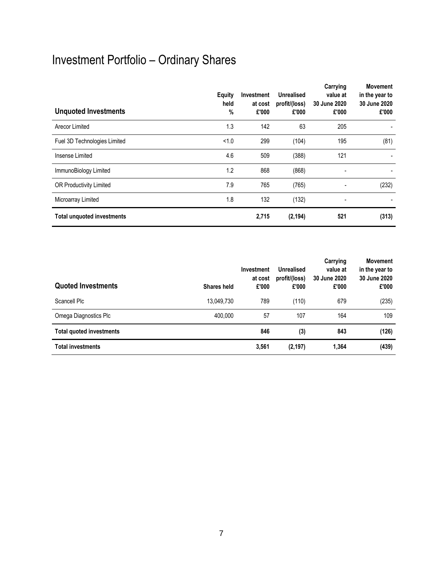# Investment Portfolio – Ordinary Shares

| <b>Unquoted Investments</b>       | Equity<br>held<br>% | <b>Investment</b><br>at cost<br>£'000 | <b>Unrealised</b><br>profit/(loss)<br>£'000 | Carrying<br>value at<br>30 June 2020<br>£'000 | <b>Movement</b><br>in the year to<br>30 June 2020<br>£'000 |
|-----------------------------------|---------------------|---------------------------------------|---------------------------------------------|-----------------------------------------------|------------------------------------------------------------|
| Arecor Limited                    | 1.3                 | 142                                   | 63                                          | 205                                           |                                                            |
| Fuel 3D Technologies Limited      | < 1.0               | 299                                   | (104)                                       | 195                                           | (81)                                                       |
| Insense Limited                   | 4.6                 | 509                                   | (388)                                       | 121                                           |                                                            |
| ImmunoBiology Limited             | 1.2                 | 868                                   | (868)                                       | $\overline{\phantom{0}}$                      |                                                            |
| OR Productivity Limited           | 7.9                 | 765                                   | (765)                                       |                                               | (232)                                                      |
| Microarray Limited                | 1.8                 | 132                                   | (132)                                       |                                               |                                                            |
| <b>Total unquoted investments</b> |                     | 2,715                                 | (2, 194)                                    | 521                                           | (313)                                                      |

| <b>Quoted Investments</b>       | <b>Investment</b><br>at cost<br>£'000<br><b>Shares held</b> | Unrealised<br>profit/(loss)<br>£'000 | Carrying<br>value at<br>30 June 2020<br>£'000 | <b>Movement</b><br>in the year to<br>30 June 2020<br>£'000 |
|---------------------------------|-------------------------------------------------------------|--------------------------------------|-----------------------------------------------|------------------------------------------------------------|
| Scancell Plc                    | 13,049,730                                                  | 789<br>(110)                         | 679                                           | (235)                                                      |
| Omega Diagnostics Plc           | 400.000                                                     | 57<br>107                            | 164                                           | 109                                                        |
| <b>Total quoted investments</b> |                                                             | 846<br>(3)                           | 843                                           | (126)                                                      |
| <b>Total investments</b>        | 3,561                                                       | (2, 197)                             | 1,364                                         | (439)                                                      |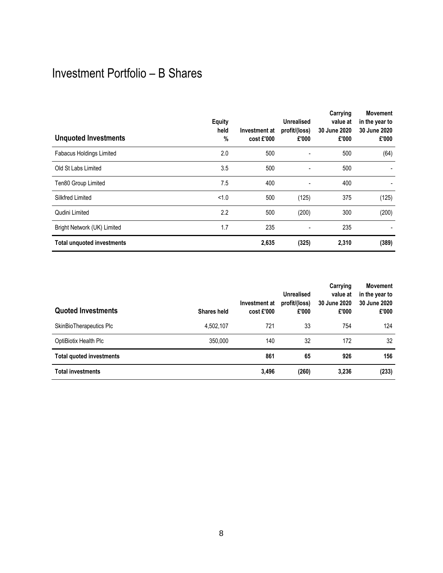### Investment Portfolio – B Shares

| <b>Unquoted Investments</b>       | <b>Equity</b><br>held<br>% | Investment at<br>cost £'000 | <b>Unrealised</b><br>profit/(loss)<br>£'000 | Carrying<br>value at<br>30 June 2020<br>£'000 | <b>Movement</b><br>in the year to<br>30 June 2020<br>£'000 |
|-----------------------------------|----------------------------|-----------------------------|---------------------------------------------|-----------------------------------------------|------------------------------------------------------------|
| <b>Fabacus Holdings Limited</b>   | 2.0                        | 500                         |                                             | 500                                           | (64)                                                       |
| Old St Labs Limited               | 3.5                        | 500                         | $\overline{a}$                              | 500                                           |                                                            |
| Ten80 Group Limited               | 7.5                        | 400                         | ٠                                           | 400                                           |                                                            |
| Silkfred Limited                  | < 1.0                      | 500                         | (125)                                       | 375                                           | (125)                                                      |
| Qudini Limited                    | 2.2                        | 500                         | (200)                                       | 300                                           | (200)                                                      |
| Bright Network (UK) Limited       | 1.7                        | 235                         | ٠                                           | 235                                           |                                                            |
| <b>Total unquoted investments</b> |                            | 2,635                       | (325)                                       | 2,310                                         | (389)                                                      |

| <b>Quoted Investments</b>       | Shares held | Investment at<br>$cost$ $E$ '000 | Unrealised<br>profit/(loss)<br>£'000 | Carrying<br>value at<br>30 June 2020<br>£'000 | <b>Movement</b><br>in the year to<br>30 June 2020<br>£'000 |
|---------------------------------|-------------|----------------------------------|--------------------------------------|-----------------------------------------------|------------------------------------------------------------|
| SkinBioTherapeutics Plc         | 4.502.107   | 721                              | 33                                   | 754                                           | 124                                                        |
| OptiBiotix Health Plc           | 350,000     | 140                              | 32                                   | 172                                           | 32                                                         |
| <b>Total quoted investments</b> |             | 861                              | 65                                   | 926                                           | 156                                                        |
| <b>Total investments</b>        |             | 3,496                            | (260)                                | 3,236                                         | (233)                                                      |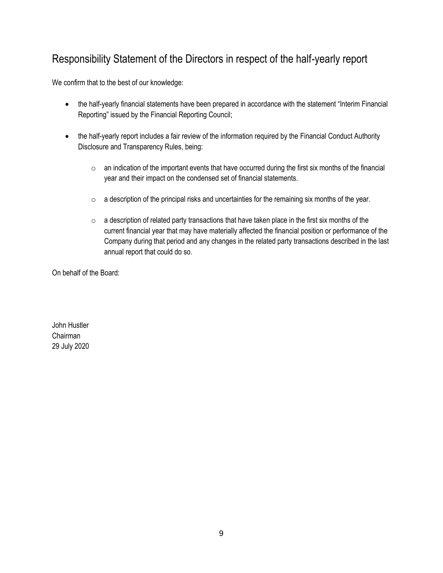### Responsibility Statement of the Directors in respect of the half-yearly report

We confirm that to the best of our knowledge:

- the half-yearly financial statements have been prepared in accordance with the statement "Interim Financial Reporting" issued by the Financial Reporting Council;
- the half-yearly report includes a fair review of the information required by the Financial Conduct Authority Disclosure and Transparency Rules, being:
	- $\circ$  an indication of the important events that have occurred during the first six months of the financial year and their impact on the condensed set of financial statements.
	- $\circ$  a description of the principal risks and uncertainties for the remaining six months of the year.
	- $\circ$  a description of related party transactions that have taken place in the first six months of the current financial year that may have materially affected the financial position or performance of the Company during that period and any changes in the related party transactions described in the last annual report that could do so.

On behalf of the Board:

John Hustler Chairman 29 July 2020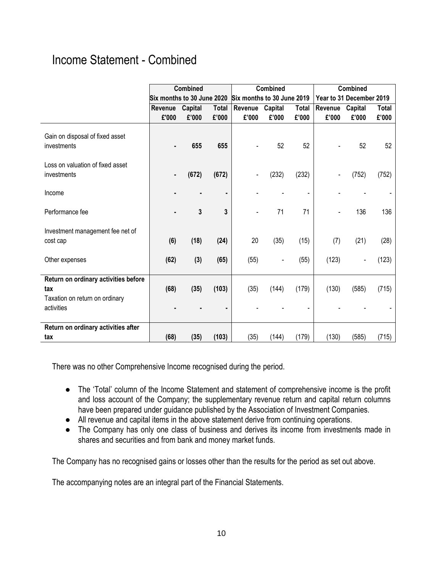### Income Statement - Combined

|                                                                                             |                            | <b>Combined</b> |              |                            | Combined |                |                          | Combined                 |       |
|---------------------------------------------------------------------------------------------|----------------------------|-----------------|--------------|----------------------------|----------|----------------|--------------------------|--------------------------|-------|
|                                                                                             | Six months to 30 June 2020 |                 |              | Six months to 30 June 2019 |          |                | Year to 31 December 2019 |                          |       |
|                                                                                             | Revenue                    | Capital         | <b>Total</b> | Revenue                    | Capital  | <b>Total</b>   | Revenue                  | Capital                  | Total |
|                                                                                             | £'000                      | £'000           | £'000        | £'000                      | £'000    | £'000          | £'000                    | £'000                    | £'000 |
| Gain on disposal of fixed asset<br>investments                                              |                            | 655             | 655          |                            | 52       | 52             |                          | 52                       | 52    |
| Loss on valuation of fixed asset<br>investments                                             |                            | (672)           | (672)        |                            | (232)    | (232)          |                          | (752)                    | (752) |
| Income                                                                                      |                            |                 | ۰            |                            |          | $\blacksquare$ |                          |                          |       |
| Performance fee                                                                             |                            | 3               | 3            |                            | 71       | 71             |                          | 136                      | 136   |
| Investment management fee net of<br>cost cap                                                | (6)                        | (18)            | (24)         | 20                         | (35)     | (15)           | (7)                      | (21)                     | (28)  |
| Other expenses                                                                              | (62)                       | (3)             | (65)         | (55)                       |          | (55)           | (123)                    | $\overline{\phantom{a}}$ | (123) |
| Return on ordinary activities before<br>tax<br>Taxation on return on ordinary<br>activities | (68)                       | (35)            | (103)        | (35)                       | (144)    | (179)          | (130)                    | (585)                    | (715) |
| Return on ordinary activities after<br>tax                                                  | (68)                       | (35)            | (103)        | (35)                       | (144)    | (179)          | (130)                    | (585)                    | (715) |

There was no other Comprehensive Income recognised during the period.

- The 'Total' column of the Income Statement and statement of comprehensive income is the profit and loss account of the Company; the supplementary revenue return and capital return columns have been prepared under guidance published by the Association of Investment Companies.
- All revenue and capital items in the above statement derive from continuing operations.
- The Company has only one class of business and derives its income from investments made in shares and securities and from bank and money market funds.

The Company has no recognised gains or losses other than the results for the period as set out above.

The accompanying notes are an integral part of the Financial Statements.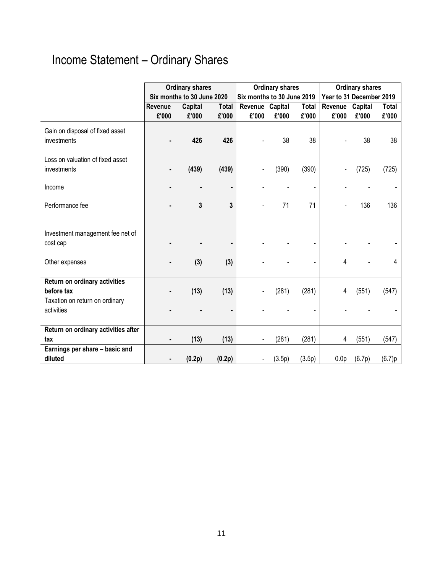# Income Statement – Ordinary Shares

|                                     |         | <b>Ordinary shares</b>     |              |                            | <b>Ordinary shares</b> |              | <b>Ordinary shares</b>   |         |              |  |
|-------------------------------------|---------|----------------------------|--------------|----------------------------|------------------------|--------------|--------------------------|---------|--------------|--|
|                                     |         | Six months to 30 June 2020 |              | Six months to 30 June 2019 |                        |              | Year to 31 December 2019 |         |              |  |
|                                     | Revenue | Capital                    | <b>Total</b> | Revenue Capital            |                        | <b>Total</b> | Revenue                  | Capital | <b>Total</b> |  |
|                                     | £'000   | £'000                      | £'000        | £'000                      | £'000                  | £'000        | £'000                    | £'000   | £'000        |  |
| Gain on disposal of fixed asset     |         |                            |              |                            |                        |              |                          |         |              |  |
| investments                         |         | 426                        | 426          |                            | 38                     | 38           |                          | 38      | 38           |  |
|                                     |         |                            |              |                            |                        |              |                          |         |              |  |
| Loss on valuation of fixed asset    |         |                            |              |                            |                        |              |                          |         |              |  |
| investments                         |         | (439)                      | (439)        |                            | (390)                  | (390)        |                          | (725)   | (725)        |  |
|                                     |         |                            |              |                            |                        |              |                          |         |              |  |
| Income                              |         |                            | ٠            |                            |                        |              |                          |         |              |  |
|                                     |         |                            |              |                            |                        |              |                          |         |              |  |
| Performance fee                     |         | 3                          | 3            |                            | 71                     | 71           |                          | 136     | 136          |  |
|                                     |         |                            |              |                            |                        |              |                          |         |              |  |
| Investment management fee net of    |         |                            |              |                            |                        |              |                          |         |              |  |
| cost cap                            |         |                            |              |                            |                        |              |                          |         |              |  |
|                                     |         |                            |              |                            |                        |              |                          |         |              |  |
| Other expenses                      |         | (3)                        | (3)          |                            |                        |              | 4                        |         | 4            |  |
|                                     |         |                            |              |                            |                        |              |                          |         |              |  |
| Return on ordinary activities       |         |                            |              |                            |                        |              |                          |         |              |  |
| before tax                          |         | (13)                       | (13)         |                            | (281)                  | (281)        | 4                        | (551)   | (547)        |  |
| Taxation on return on ordinary      |         |                            |              |                            |                        |              |                          |         |              |  |
| activities                          |         |                            |              |                            |                        |              |                          |         |              |  |
|                                     |         |                            |              |                            |                        |              |                          |         |              |  |
| Return on ordinary activities after |         |                            |              |                            |                        |              |                          |         |              |  |
| tax                                 |         | (13)                       | (13)         |                            | (281)                  | (281)        | 4                        | (551)   | (547)        |  |
| Earnings per share - basic and      |         |                            |              |                            |                        |              |                          |         |              |  |
| diluted                             |         | (0.2p)                     | (0.2p)       |                            | (3.5p)                 | (3.5p)       | 0.0 <sub>p</sub>         | (6.7p)  | (6.7)p       |  |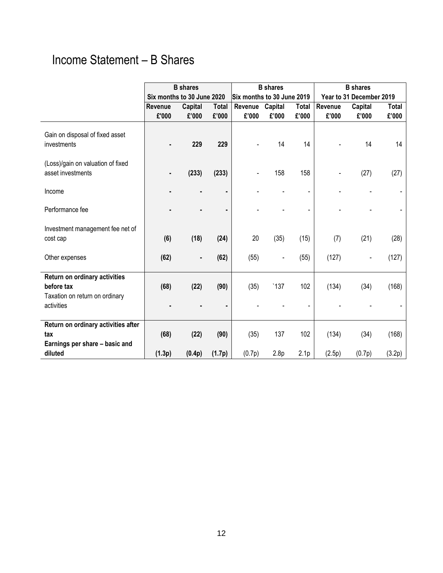### Income Statement – B Shares

|                                                                                             |                | <b>B</b> shares            |                |                | <b>B</b> shares            |                         | <b>B</b> shares |                          |                 |
|---------------------------------------------------------------------------------------------|----------------|----------------------------|----------------|----------------|----------------------------|-------------------------|-----------------|--------------------------|-----------------|
|                                                                                             |                | Six months to 30 June 2020 |                |                | Six months to 30 June 2019 |                         |                 | Year to 31 December 2019 |                 |
|                                                                                             | Revenue        | Capital                    | <b>Total</b>   | Revenue        | Capital                    | <b>Total</b>            | Revenue         | Capital                  | <b>Total</b>    |
|                                                                                             | £'000          | £'000                      | £'000          | £'000          | £'000                      | £'000                   | £'000           | £'000                    | £'000           |
| Gain on disposal of fixed asset<br>investments                                              |                | 229                        | 229            |                | 14                         | 14                      |                 | 14                       | 14              |
| (Loss)/gain on valuation of fixed<br>asset investments                                      |                | (233)                      | (233)          |                | 158                        | 158                     |                 | (27)                     | (27)            |
| Income                                                                                      |                |                            | ٠              |                |                            |                         |                 |                          |                 |
| Performance fee                                                                             |                |                            |                |                |                            |                         |                 |                          |                 |
| Investment management fee net of<br>cost cap                                                | (6)            | (18)                       | (24)           | 20             | (35)                       | (15)                    | (7)             | (21)                     | (28)            |
| Other expenses                                                                              | (62)           | ٠                          | (62)           | (55)           |                            | (55)                    | (127)           |                          | (127)           |
| Return on ordinary activities<br>before tax<br>Taxation on return on ordinary<br>activities | (68)           | (22)                       | (90)           | (35)           | '137                       | 102                     | (134)           | (34)                     | (168)           |
| Return on ordinary activities after<br>tax<br>Earnings per share - basic and<br>diluted     | (68)<br>(1.3p) | (22)<br>(0.4p)             | (90)<br>(1.7p) | (35)<br>(0.7p) | 137<br>2.8 <sub>p</sub>    | 102<br>2.1 <sub>p</sub> | (134)<br>(2.5p) | (34)<br>(0.7p)           | (168)<br>(3.2p) |
|                                                                                             |                |                            |                |                |                            |                         |                 |                          |                 |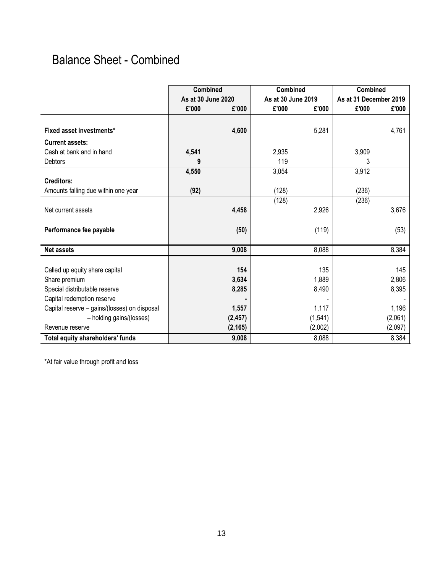### Balance Sheet - Combined

|                                              | <b>Combined</b>    |          | Combined           |          | <b>Combined</b>        |         |
|----------------------------------------------|--------------------|----------|--------------------|----------|------------------------|---------|
|                                              | As at 30 June 2020 |          | As at 30 June 2019 |          | As at 31 December 2019 |         |
|                                              | £'000              | £'000    | £'000              | £'000    | £'000                  | £'000   |
|                                              |                    |          |                    |          |                        |         |
| Fixed asset investments*                     |                    | 4,600    |                    | 5,281    |                        | 4,761   |
| <b>Current assets:</b>                       |                    |          |                    |          |                        |         |
| Cash at bank and in hand                     | 4,541              |          | 2,935              |          | 3,909                  |         |
| Debtors                                      | 9                  |          | 119                |          | 3                      |         |
|                                              | 4,550              |          | 3,054              |          | 3,912                  |         |
| <b>Creditors:</b>                            |                    |          |                    |          |                        |         |
| Amounts falling due within one year          | (92)               |          | (128)              |          | (236)                  |         |
|                                              |                    |          | (128)              |          | (236)                  |         |
| Net current assets                           |                    | 4,458    |                    | 2,926    |                        | 3,676   |
|                                              |                    |          |                    |          |                        |         |
| Performance fee payable                      |                    | (50)     |                    | (119)    |                        | (53)    |
|                                              |                    |          |                    |          |                        |         |
| <b>Net assets</b>                            |                    | 9,008    |                    | 8,088    |                        | 8,384   |
|                                              |                    |          |                    |          |                        |         |
| Called up equity share capital               |                    | 154      |                    | 135      |                        | 145     |
| Share premium                                |                    | 3,634    |                    | 1,889    |                        | 2,806   |
| Special distributable reserve                |                    | 8,285    |                    | 8,490    |                        | 8,395   |
| Capital redemption reserve                   |                    |          |                    |          |                        |         |
| Capital reserve - gains/(losses) on disposal |                    | 1,557    |                    | 1,117    |                        | 1,196   |
| - holding gains/(losses)                     |                    | (2, 457) |                    | (1, 541) |                        | (2,061) |
| Revenue reserve                              |                    | (2, 165) |                    | (2,002)  |                        | (2,097) |
| Total equity shareholders' funds             |                    | 9,008    |                    | 8,088    |                        | 8,384   |

\*At fair value through profit and loss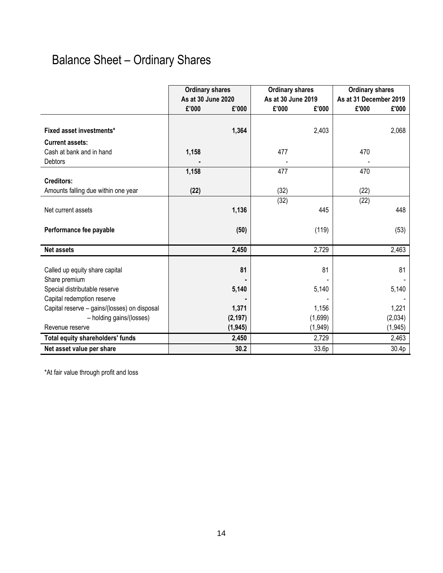## Balance Sheet – Ordinary Shares

|                                              | <b>Ordinary shares</b> |          | <b>Ordinary shares</b> |         | <b>Ordinary shares</b> |          |
|----------------------------------------------|------------------------|----------|------------------------|---------|------------------------|----------|
|                                              | As at 30 June 2020     |          | As at 30 June 2019     |         | As at 31 December 2019 |          |
|                                              | £'000                  | £'000    | £'000                  | £'000   | £'000                  | £'000    |
|                                              |                        |          |                        |         |                        |          |
| Fixed asset investments*                     |                        | 1,364    |                        | 2,403   |                        | 2,068    |
| <b>Current assets:</b>                       |                        |          |                        |         |                        |          |
| Cash at bank and in hand                     | 1,158                  |          | 477                    |         | 470                    |          |
| <b>Debtors</b>                               |                        |          |                        |         |                        |          |
|                                              | 1,158                  |          | 477                    |         | 470                    |          |
| <b>Creditors:</b>                            |                        |          |                        |         |                        |          |
| Amounts falling due within one year          | (22)                   |          | (32)                   |         | (22)                   |          |
|                                              |                        |          | (32)                   |         | (22)                   |          |
| Net current assets                           |                        | 1,136    |                        | 445     |                        | 448      |
|                                              |                        |          |                        |         |                        |          |
| Performance fee payable                      |                        | (50)     |                        | (119)   |                        | (53)     |
| <b>Net assets</b>                            |                        | 2,450    |                        | 2,729   |                        | 2,463    |
|                                              |                        |          |                        |         |                        |          |
| Called up equity share capital               |                        | 81       |                        | 81      |                        | 81       |
| Share premium                                |                        |          |                        |         |                        |          |
| Special distributable reserve                |                        | 5,140    |                        | 5,140   |                        | 5,140    |
| Capital redemption reserve                   |                        |          |                        |         |                        |          |
| Capital reserve - gains/(losses) on disposal |                        | 1,371    |                        | 1,156   |                        | 1,221    |
| - holding gains/(losses)                     |                        | (2, 197) |                        | (1,699) |                        | (2,034)  |
| Revenue reserve                              |                        | (1, 945) |                        | (1,949) |                        | (1, 945) |
| Total equity shareholders' funds             |                        | 2,450    |                        | 2,729   |                        | 2,463    |
| Net asset value per share                    |                        | 30.2     |                        | 33.6p   |                        | 30.4p    |

\*At fair value through profit and loss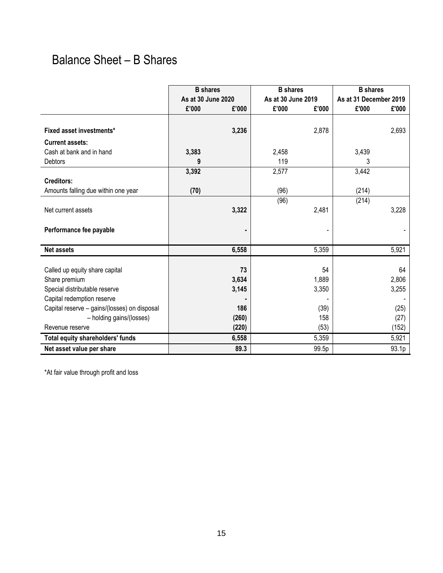### Balance Sheet – B Shares

|                                              | <b>B</b> shares    |       | <b>B</b> shares    |       | <b>B</b> shares        |       |
|----------------------------------------------|--------------------|-------|--------------------|-------|------------------------|-------|
|                                              | As at 30 June 2020 |       | As at 30 June 2019 |       | As at 31 December 2019 |       |
|                                              | £'000              | £'000 | £'000              | £'000 | £'000                  | £'000 |
|                                              |                    |       |                    |       |                        |       |
| Fixed asset investments*                     |                    | 3,236 |                    | 2,878 |                        | 2,693 |
| <b>Current assets:</b>                       |                    |       |                    |       |                        |       |
| Cash at bank and in hand                     | 3,383              |       | 2,458              |       | 3,439                  |       |
| <b>Debtors</b>                               | 9                  |       | 119                |       | 3                      |       |
|                                              | 3,392              |       | 2,577              |       | 3,442                  |       |
| <b>Creditors:</b>                            |                    |       |                    |       |                        |       |
| Amounts falling due within one year          | (70)               |       | (96)               |       | (214)                  |       |
|                                              |                    |       | (96)               |       | (214)                  |       |
| Net current assets                           |                    | 3,322 |                    | 2,481 |                        | 3,228 |
|                                              |                    |       |                    |       |                        |       |
| Performance fee payable                      |                    |       |                    |       |                        |       |
|                                              |                    |       |                    |       |                        |       |
| <b>Net assets</b>                            |                    | 6,558 |                    | 5,359 |                        | 5,921 |
|                                              |                    |       |                    |       |                        |       |
| Called up equity share capital               |                    | 73    |                    | 54    |                        | 64    |
| Share premium                                |                    | 3,634 |                    | 1,889 |                        | 2,806 |
| Special distributable reserve                |                    | 3,145 |                    | 3,350 |                        | 3,255 |
| Capital redemption reserve                   |                    |       |                    |       |                        |       |
| Capital reserve - gains/(losses) on disposal |                    | 186   |                    | (39)  |                        | (25)  |
| - holding gains/(losses)                     |                    | (260) |                    | 158   |                        | (27)  |
| Revenue reserve                              |                    | (220) |                    | (53)  |                        | (152) |
| Total equity shareholders' funds             |                    | 6,558 |                    | 5,359 |                        | 5,921 |
| Net asset value per share                    |                    | 89.3  |                    | 99.5p |                        | 93.1p |

\*At fair value through profit and loss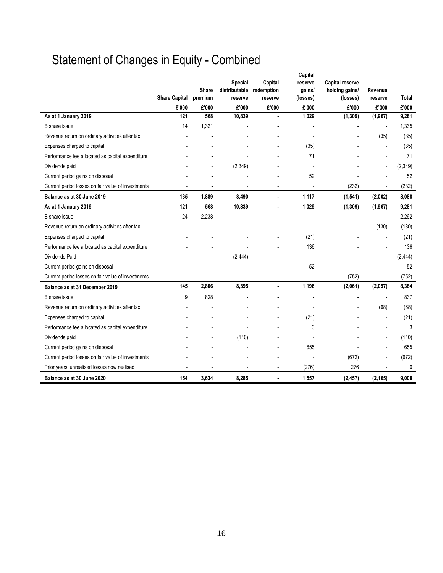# Statement of Changes in Equity - Combined

|                                                    |                      | <b>Share</b> | Special<br>distributable | Capital<br>redemption    | Capital<br>reserve<br>gains/ | <b>Capital reserve</b><br>holding gains/ | Revenue  |          |
|----------------------------------------------------|----------------------|--------------|--------------------------|--------------------------|------------------------------|------------------------------------------|----------|----------|
|                                                    | <b>Share Capital</b> | premium      | reserve                  | reserve                  | (losses)                     | (losses)                                 | reserve  | Total    |
|                                                    | £'000                | £'000        | £'000                    | £'000                    | £'000                        | £'000                                    | £'000    | £'000    |
| As at 1 January 2019                               | 121                  | 568          | 10,839                   | $\blacksquare$           | 1,029                        | (1, 309)                                 | (1, 967) | 9,281    |
| B share issue                                      | 14                   | 1,321        |                          |                          |                              |                                          |          | 1,335    |
| Revenue return on ordinary activities after tax    |                      |              |                          |                          |                              |                                          | (35)     | (35)     |
| Expenses charged to capital                        |                      |              |                          |                          | (35)                         |                                          |          | (35)     |
| Performance fee allocated as capital expenditure   |                      |              |                          |                          | 71                           |                                          |          | 71       |
| Dividends paid                                     |                      |              | (2, 349)                 |                          |                              |                                          |          | (2, 349) |
| Current period gains on disposal                   |                      |              |                          |                          | 52                           |                                          |          | 52       |
| Current period losses on fair value of investments |                      |              |                          | $\overline{\phantom{a}}$ | ÷,                           | (232)                                    |          | (232)    |
| Balance as at 30 June 2019                         | 135                  | 1,889        | 8,490                    |                          | 1,117                        | (1, 541)                                 | (2,002)  | 8,088    |
| As at 1 January 2019                               | 121                  | 568          | 10,839                   |                          | 1,029                        | (1, 309)                                 | (1, 967) | 9,281    |
| B share issue                                      | 24                   | 2,238        |                          |                          |                              |                                          |          | 2,262    |
| Revenue return on ordinary activities after tax    |                      |              |                          |                          |                              |                                          | (130)    | (130)    |
| Expenses charged to capital                        |                      |              |                          |                          | (21)                         |                                          |          | (21)     |
| Performance fee allocated as capital expenditure   |                      |              |                          |                          | 136                          |                                          |          | 136      |
| <b>Dividends Paid</b>                              |                      |              | (2, 444)                 |                          |                              |                                          |          | (2, 444) |
| Current period gains on disposal                   |                      |              |                          |                          | 52                           |                                          |          | 52       |
| Current period losses on fair value of investments |                      |              |                          |                          |                              | (752)                                    |          | (752)    |
| Balance as at 31 December 2019                     | 145                  | 2,806        | 8,395                    |                          | 1,196                        | (2,061)                                  | (2,097)  | 8,384    |
| B share issue                                      | 9                    | 828          |                          |                          |                              |                                          |          | 837      |
| Revenue return on ordinary activities after tax    |                      |              |                          |                          |                              |                                          | (68)     | (68)     |
| Expenses charged to capital                        |                      |              |                          |                          | (21)                         |                                          |          | (21)     |
| Performance fee allocated as capital expenditure   |                      |              |                          |                          | 3                            |                                          |          | 3        |
| Dividends paid                                     |                      |              | (110)                    |                          |                              |                                          |          | (110)    |
| Current period gains on disposal                   |                      |              |                          |                          | 655                          |                                          |          | 655      |
| Current period losses on fair value of investments |                      |              |                          |                          |                              | (672)                                    |          | (672)    |
| Prior years' unrealised losses now realised        |                      |              |                          |                          | (276)                        | 276                                      |          | 0        |
| Balance as at 30 June 2020                         | 154                  | 3,634        | 8,285                    |                          | 1,557                        | (2, 457)                                 | (2, 165) | 9,008    |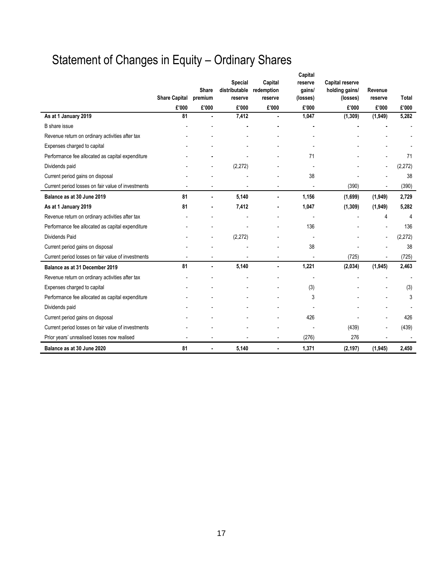# Statement of Changes in Equity – Ordinary Shares

|                                                    | <b>Share Capital</b> | <b>Share</b><br>premium | <b>Special</b><br>distributable<br>reserve | Capital<br>redemption<br>reserve | Capital<br>reserve<br>gains/<br>(losses) | <b>Capital reserve</b><br>holding gains/<br>(losses) | Revenue<br>reserve | Total    |
|----------------------------------------------------|----------------------|-------------------------|--------------------------------------------|----------------------------------|------------------------------------------|------------------------------------------------------|--------------------|----------|
|                                                    | £'000                | £'000                   | £'000                                      | £'000                            | £'000                                    | £'000                                                | £'000              | £'000    |
| As at 1 January 2019                               | 81                   |                         | 7,412                                      |                                  | 1,047                                    | (1, 309)                                             | (1,949)            | 5,282    |
| B share issue                                      |                      |                         |                                            |                                  |                                          |                                                      |                    |          |
| Revenue return on ordinary activities after tax    |                      |                         |                                            |                                  |                                          |                                                      |                    |          |
| Expenses charged to capital                        |                      |                         |                                            |                                  |                                          |                                                      |                    |          |
| Performance fee allocated as capital expenditure   |                      |                         |                                            |                                  | 71                                       |                                                      |                    | 71       |
| Dividends paid                                     |                      |                         | (2,272)                                    |                                  |                                          |                                                      |                    | (2,272)  |
| Current period gains on disposal                   |                      |                         |                                            |                                  | 38                                       |                                                      |                    | 38       |
| Current period losses on fair value of investments |                      |                         |                                            |                                  |                                          | (390)                                                |                    | (390)    |
| Balance as at 30 June 2019                         | 81                   |                         | 5,140                                      |                                  | 1,156                                    | (1,699)                                              | (1,949)            | 2,729    |
| As at 1 January 2019                               | 81                   |                         | 7,412                                      |                                  | 1,047                                    | (1, 309)                                             | (1,949)            | 5,282    |
| Revenue return on ordinary activities after tax    |                      |                         |                                            |                                  | $\overline{\phantom{a}}$                 |                                                      | 4                  | 4        |
| Performance fee allocated as capital expenditure   |                      |                         |                                            |                                  | 136                                      |                                                      |                    | 136      |
| <b>Dividends Paid</b>                              |                      |                         | (2, 272)                                   |                                  |                                          |                                                      |                    | (2, 272) |
| Current period gains on disposal                   |                      |                         |                                            |                                  | 38                                       |                                                      |                    | 38       |
| Current period losses on fair value of investments |                      |                         |                                            |                                  |                                          | (725)                                                |                    | (725)    |
| Balance as at 31 December 2019                     | 81                   |                         | 5,140                                      | $\blacksquare$                   | 1,221                                    | (2,034)                                              | (1, 945)           | 2,463    |
| Revenue return on ordinary activities after tax    |                      |                         |                                            |                                  | $\blacksquare$                           |                                                      |                    |          |
| Expenses charged to capital                        |                      |                         |                                            |                                  | (3)                                      |                                                      |                    | (3)      |
| Performance fee allocated as capital expenditure   |                      |                         |                                            |                                  | 3                                        |                                                      |                    | 3        |
| Dividends paid                                     |                      |                         |                                            |                                  |                                          |                                                      |                    |          |
| Current period gains on disposal                   |                      |                         |                                            |                                  | 426                                      |                                                      |                    | 426      |
| Current period losses on fair value of investments |                      |                         |                                            |                                  |                                          | (439)                                                |                    | (439)    |
| Prior years' unrealised losses now realised        |                      |                         |                                            | $\overline{a}$                   | (276)                                    | 276                                                  |                    |          |
| Balance as at 30 June 2020                         | 81                   |                         | 5,140                                      | $\blacksquare$                   | 1,371                                    | (2, 197)                                             | (1, 945)           | 2,450    |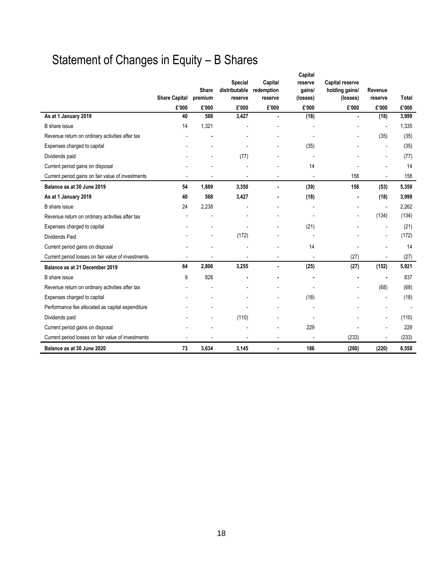# Statement of Changes in Equity – B Shares

|                                                    |                      | Share        | Special<br>distributable | Capital<br>redemption    | Capital<br>reserve<br>gains/ | <b>Capital reserve</b><br>holding gains/ | Revenue                      |                |
|----------------------------------------------------|----------------------|--------------|--------------------------|--------------------------|------------------------------|------------------------------------------|------------------------------|----------------|
|                                                    | <b>Share Capital</b> | premium      | reserve                  | reserve                  | (losses)                     | (losses)                                 | reserve                      | <b>Total</b>   |
| As at 1 January 2019                               | £'000<br>40          | £'000<br>568 | £'000<br>3,427           | £'000<br>ä,              | £'000<br>(18)                | £'000<br>ä,                              | £'000<br>(18)                | £'000<br>3,999 |
| B share issue                                      | 14                   | 1,321        |                          |                          |                              |                                          | $\overline{\phantom{a}}$     | 1,335          |
| Revenue return on ordinary activities after tax    |                      |              |                          |                          |                              |                                          |                              | (35)           |
|                                                    |                      |              |                          |                          |                              |                                          | (35)                         |                |
| Expenses charged to capital                        |                      |              |                          |                          | (35)                         |                                          | ٠                            | (35)           |
| Dividends paid                                     |                      |              | (77)                     |                          |                              |                                          |                              | (77)           |
| Current period gains on disposal                   |                      |              |                          |                          | 14                           |                                          |                              | 14             |
| Current period gains on fair value of investments  |                      |              |                          |                          |                              | 158                                      |                              | 158            |
| Balance as at 30 June 2019                         | 54                   | 1,889        | 3,350                    |                          | (39)                         | 158                                      | (53)                         | 5,359          |
| As at 1 January 2019                               | 40                   | 568          | 3,427                    |                          | (18)                         |                                          | (18)                         | 3,999          |
| B share issue                                      | 24                   | 2,238        |                          |                          |                              |                                          | $\blacksquare$               | 2,262          |
| Revenue return on ordinary activities after tax    |                      |              |                          |                          |                              | $\overline{\phantom{a}}$                 | (134)                        | (134)          |
| Expenses charged to capital                        |                      |              |                          |                          | (21)                         |                                          | $\blacksquare$               | (21)           |
| <b>Dividends Paid</b>                              |                      |              | (172)                    |                          |                              |                                          | $\overline{a}$               | (172)          |
| Current period gains on disposal                   |                      |              |                          |                          | 14                           |                                          |                              | 14             |
| Current period losses on fair value of investments |                      |              |                          | $\overline{a}$           | $\overline{\phantom{a}}$     | (27)                                     | $\qquad \qquad \blacksquare$ | (27)           |
| Balance as at 31 December 2019                     | 64                   | 2,806        | 3,255                    | ä,                       | (25)                         | (27)                                     | (152)                        | 5,921          |
| B share issue                                      | 9                    | 828          |                          |                          |                              |                                          | ä,                           | 837            |
| Revenue return on ordinary activities after tax    |                      |              |                          |                          |                              |                                          | (68)                         | (68)           |
| Expenses charged to capital                        |                      |              |                          |                          | (18)                         |                                          |                              | (18)           |
| Performance fee allocated as capital expenditure   |                      |              |                          |                          |                              |                                          |                              |                |
| Dividends paid                                     |                      |              | (110)                    |                          |                              |                                          |                              | (110)          |
| Current period gains on disposal                   |                      |              |                          |                          | 229                          |                                          |                              | 229            |
| Current period losses on fair value of investments | ٠                    |              |                          | $\overline{\phantom{a}}$ | $\overline{\phantom{a}}$     | (233)                                    | ٠                            | (233)          |
| Balance as at 30 June 2020                         | 73                   | 3,634        | 3,145                    | $\blacksquare$           | 186                          | (260)                                    | (220)                        | 6,558          |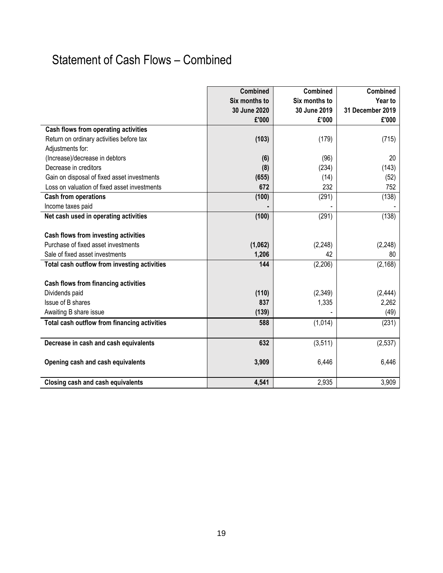## Statement of Cash Flows – Combined

|                                              | <b>Combined</b> | <b>Combined</b> | <b>Combined</b>  |
|----------------------------------------------|-----------------|-----------------|------------------|
|                                              | Six months to   | Six months to   | Year to          |
|                                              | 30 June 2020    | 30 June 2019    | 31 December 2019 |
|                                              | £'000           | £'000           | £'000            |
| Cash flows from operating activities         |                 |                 |                  |
| Return on ordinary activities before tax     | (103)           | (179)           | (715)            |
| Adjustments for:                             |                 |                 |                  |
| (Increase)/decrease in debtors               | (6)             | (96)            | 20               |
| Decrease in creditors                        | (8)             | (234)           | (143)            |
| Gain on disposal of fixed asset investments  | (655)           | (14)            | (52)             |
| Loss on valuation of fixed asset investments | 672             | 232             | 752              |
| <b>Cash from operations</b>                  | (100)           | (291)           | (138)            |
| Income taxes paid                            |                 |                 |                  |
| Net cash used in operating activities        | (100)           | (291)           | (138)            |
|                                              |                 |                 |                  |
| Cash flows from investing activities         |                 |                 |                  |
| Purchase of fixed asset investments          | (1,062)         | (2, 248)        | (2, 248)         |
| Sale of fixed asset investments              | 1,206           | 42              | 80               |
| Total cash outflow from investing activities | 144             | (2, 206)        | (2, 168)         |
|                                              |                 |                 |                  |
| Cash flows from financing activities         |                 |                 |                  |
| Dividends paid                               | (110)           | (2, 349)        | (2, 444)         |
| Issue of B shares                            | 837             | 1,335           | 2,262            |
| Awaiting B share issue                       | (139)           |                 | (49)             |
| Total cash outflow from financing activities | 588             | (1,014)         | (231)            |
|                                              |                 |                 |                  |
| Decrease in cash and cash equivalents        | 632             | (3, 511)        | (2,537)          |
|                                              |                 |                 |                  |
| Opening cash and cash equivalents            | 3,909           | 6,446           | 6,446            |
|                                              |                 |                 |                  |
| <b>Closing cash and cash equivalents</b>     | 4,541           | 2,935           | 3,909            |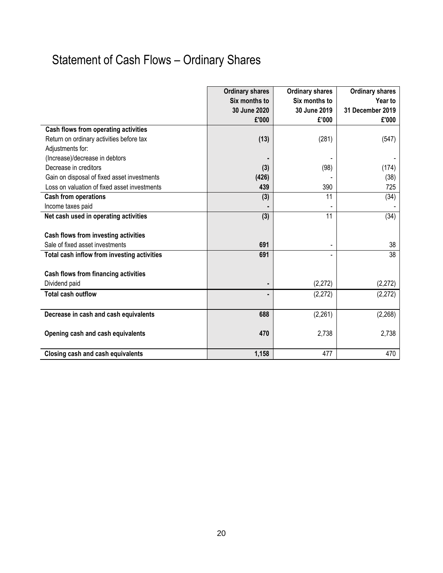# Statement of Cash Flows – Ordinary Shares

|                                              | <b>Ordinary shares</b> | <b>Ordinary shares</b> | <b>Ordinary shares</b> |
|----------------------------------------------|------------------------|------------------------|------------------------|
|                                              | Six months to          | Six months to          | Year to                |
|                                              | 30 June 2020           | 30 June 2019           | 31 December 2019       |
|                                              | £'000                  | £'000                  | £'000                  |
| Cash flows from operating activities         |                        |                        |                        |
| Return on ordinary activities before tax     | (13)                   | (281)                  | (547)                  |
| Adjustments for:                             |                        |                        |                        |
| (Increase)/decrease in debtors               |                        |                        |                        |
| Decrease in creditors                        | (3)                    | (98)                   | (174)                  |
| Gain on disposal of fixed asset investments  | (426)                  |                        | (38)                   |
| Loss on valuation of fixed asset investments | 439                    | 390                    | 725                    |
| <b>Cash from operations</b>                  | (3)                    | 11                     | (34)                   |
| Income taxes paid                            |                        |                        |                        |
| Net cash used in operating activities        | (3)                    | 11                     | (34)                   |
|                                              |                        |                        |                        |
| Cash flows from investing activities         |                        |                        |                        |
| Sale of fixed asset investments              | 691                    | $\overline{a}$         | 38                     |
| Total cash inflow from investing activities  | 691                    |                        | 38                     |
|                                              |                        |                        |                        |
| Cash flows from financing activities         |                        |                        |                        |
| Dividend paid                                | ٠                      | (2,272)                | (2, 272)               |
| <b>Total cash outflow</b>                    | $\blacksquare$         | (2, 272)               | (2,272)                |
|                                              |                        |                        |                        |
| Decrease in cash and cash equivalents        | 688                    | (2, 261)               | (2, 268)               |
|                                              |                        |                        |                        |
| Opening cash and cash equivalents            | 470                    | 2,738                  | 2,738                  |
|                                              |                        |                        |                        |
| Closing cash and cash equivalents            | 1,158                  | 477                    | 470                    |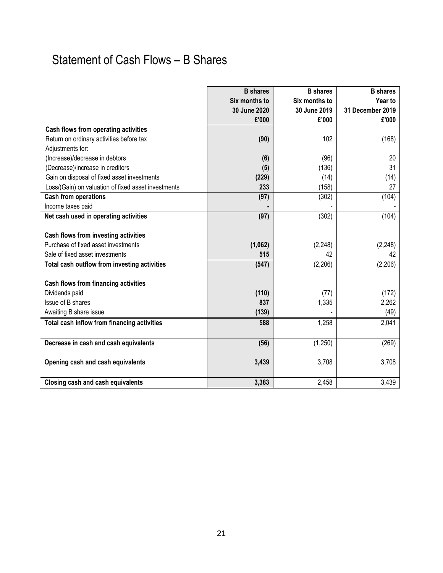## Statement of Cash Flows – B Shares

|                                                     | <b>B</b> shares | <b>B</b> shares | <b>B</b> shares  |
|-----------------------------------------------------|-----------------|-----------------|------------------|
|                                                     | Six months to   | Six months to   | Year to          |
|                                                     | 30 June 2020    | 30 June 2019    | 31 December 2019 |
|                                                     | £'000           | £'000           | £'000            |
| Cash flows from operating activities                |                 |                 |                  |
| Return on ordinary activities before tax            | (90)            | 102             | (168)            |
| Adjustments for:                                    |                 |                 |                  |
| (Increase)/decrease in debtors                      | (6)             | (96)            | 20               |
| (Decrease)/increase in creditors                    | (5)             | (136)           | 31               |
| Gain on disposal of fixed asset investments         | (229)           | (14)            | (14)             |
| Loss/(Gain) on valuation of fixed asset investments | 233             | (158)           | 27               |
| <b>Cash from operations</b>                         | (97)            | (302)           | (104)            |
| Income taxes paid                                   |                 |                 |                  |
| Net cash used in operating activities               | (97)            | (302)           | (104)            |
|                                                     |                 |                 |                  |
| Cash flows from investing activities                |                 |                 |                  |
| Purchase of fixed asset investments                 | (1,062)         | (2, 248)        | (2, 248)         |
| Sale of fixed asset investments                     | 515             | 42              | 42               |
| Total cash outflow from investing activities        | (547)           | (2,206)         | (2,206)          |
|                                                     |                 |                 |                  |
| Cash flows from financing activities                |                 |                 |                  |
| Dividends paid                                      | (110)           | (77)            | (172)            |
| Issue of B shares                                   | 837             | 1,335           | 2,262            |
| Awaiting B share issue                              | (139)           |                 | (49)             |
| Total cash inflow from financing activities         | 588             | 1,258           | 2,041            |
|                                                     |                 |                 |                  |
| Decrease in cash and cash equivalents               | (56)            | (1,250)         | (269)            |
|                                                     |                 |                 |                  |
| Opening cash and cash equivalents                   | 3,439           | 3,708           | 3,708            |
|                                                     |                 |                 |                  |
| <b>Closing cash and cash equivalents</b>            | 3,383           | 2,458           | 3,439            |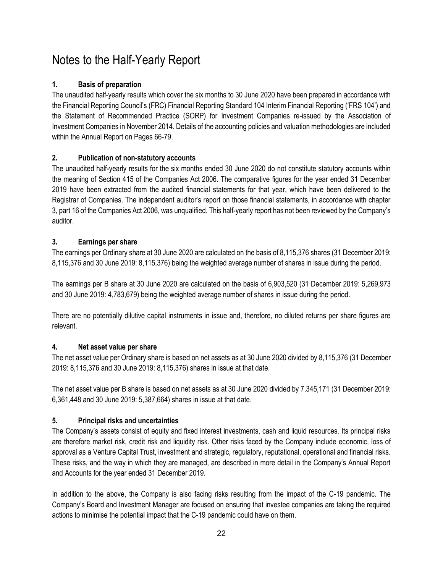### Notes to the Half-Yearly Report

#### **1. Basis of preparation**

The unaudited half-yearly results which cover the six months to 30 June 2020 have been prepared in accordance with the Financial Reporting Council's (FRC) Financial Reporting Standard 104 Interim Financial Reporting ('FRS 104') and the Statement of Recommended Practice (SORP) for Investment Companies re-issued by the Association of Investment Companies in November 2014. Details of the accounting policies and valuation methodologies are included within the Annual Report on Pages 66-79.

### **2. Publication of non-statutory accounts**

The unaudited half-yearly results for the six months ended 30 June 2020 do not constitute statutory accounts within the meaning of Section 415 of the Companies Act 2006. The comparative figures for the year ended 31 December 2019 have been extracted from the audited financial statements for that year, which have been delivered to the Registrar of Companies. The independent auditor's report on those financial statements, in accordance with chapter 3, part 16 of the Companies Act 2006, was unqualified. This half-yearly report has not been reviewed by the Company's auditor.

### **3. Earnings per share**

The earnings per Ordinary share at 30 June 2020 are calculated on the basis of 8,115,376 shares (31 December 2019: 8,115,376 and 30 June 2019: 8,115,376) being the weighted average number of shares in issue during the period.

The earnings per B share at 30 June 2020 are calculated on the basis of 6,903,520 (31 December 2019: 5,269,973 and 30 June 2019: 4,783,679) being the weighted average number of shares in issue during the period.

There are no potentially dilutive capital instruments in issue and, therefore, no diluted returns per share figures are relevant.

#### **4. Net asset value per share**

The net asset value per Ordinary share is based on net assets as at 30 June 2020 divided by 8,115,376 (31 December 2019: 8,115,376 and 30 June 2019: 8,115,376) shares in issue at that date.

The net asset value per B share is based on net assets as at 30 June 2020 divided by 7,345,171 (31 December 2019: 6,361,448 and 30 June 2019: 5,387,664) shares in issue at that date.

### **5. Principal risks and uncertainties**

The Company's assets consist of equity and fixed interest investments, cash and liquid resources. Its principal risks are therefore market risk, credit risk and liquidity risk. Other risks faced by the Company include economic, loss of approval as a Venture Capital Trust, investment and strategic, regulatory, reputational, operational and financial risks. These risks, and the way in which they are managed, are described in more detail in the Company's Annual Report and Accounts for the year ended 31 December 2019.

In addition to the above, the Company is also facing risks resulting from the impact of the C-19 pandemic. The Company's Board and Investment Manager are focused on ensuring that investee companies are taking the required actions to minimise the potential impact that the C-19 pandemic could have on them.